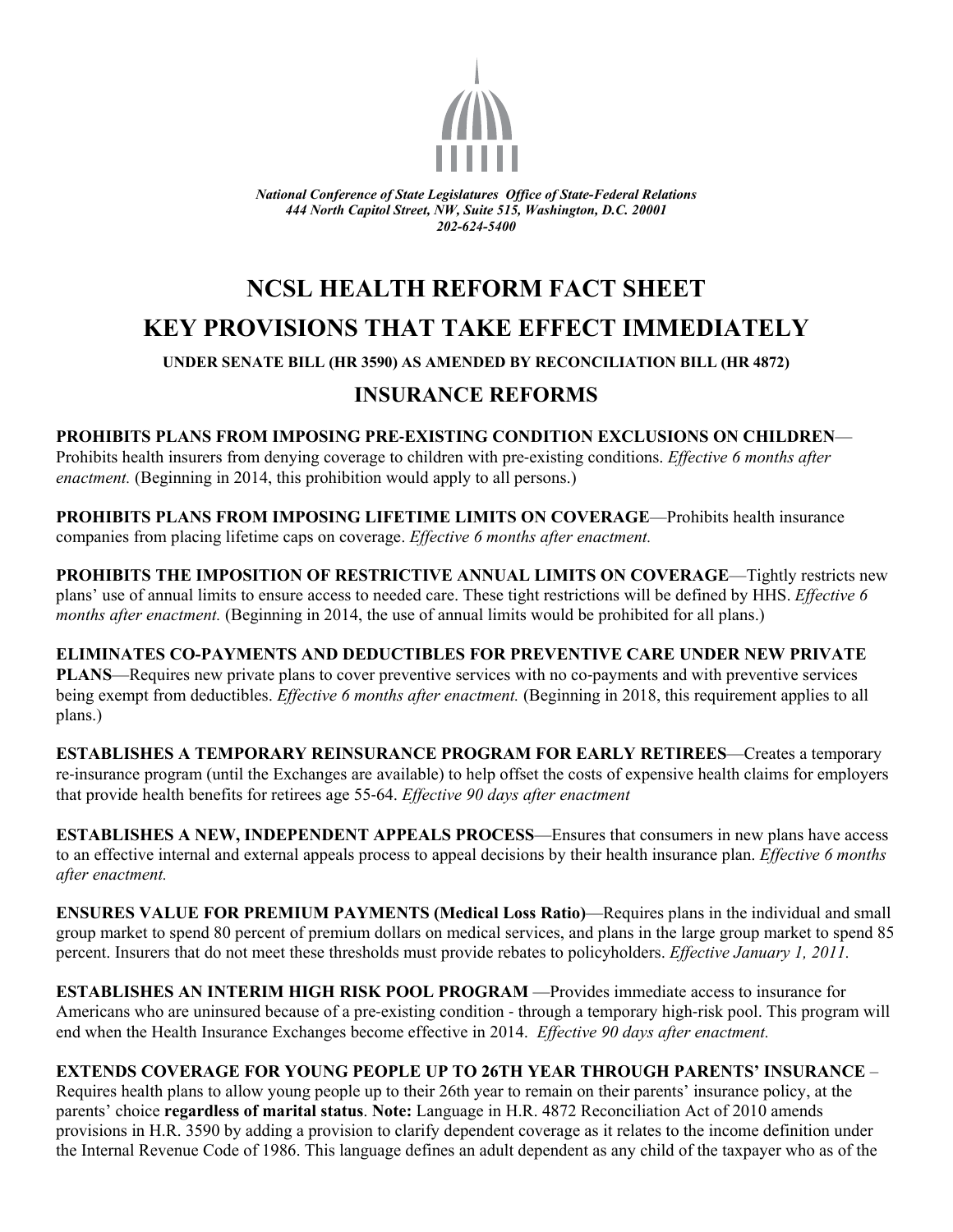

*National Conference of State Legislatures Office of State-Federal Relations 444 North Capitol Street, NW, Suite 515, Washington, D.C. 20001 202-624-5400* 

# **NCSL HEALTH REFORM FACT SHEET KEY PROVISIONS THAT TAKE EFFECT IMMEDIATELY**

#### **UNDER SENATE BILL (HR 3590) AS AMENDED BY RECONCILIATION BILL (HR 4872)**

## **INSURANCE REFORMS**

**PROHIBITS PLANS FROM IMPOSING PRE‐EXISTING CONDITION EXCLUSIONS ON CHILDREN**— Prohibits health insurers from denying coverage to children with pre‐existing conditions. *Effective 6 months after enactment.* (Beginning in 2014, this prohibition would apply to all persons.)

**PROHIBITS PLANS FROM IMPOSING LIFETIME LIMITS ON COVERAGE**—Prohibits health insurance companies from placing lifetime caps on coverage. *Effective 6 months after enactment.* 

**PROHIBITS THE IMPOSITION OF RESTRICTIVE ANNUAL LIMITS ON COVERAGE—Tightly restricts new** plans' use of annual limits to ensure access to needed care. These tight restrictions will be defined by HHS. *Effective 6 months after enactment.* (Beginning in 2014, the use of annual limits would be prohibited for all plans.)

## **ELIMINATES CO-PAYMENTS AND DEDUCTIBLES FOR PREVENTIVE CARE UNDER NEW PRIVATE**

**PLANS—Requires new private plans to cover preventive services with no co-payments and with preventive services** being exempt from deductibles. *Effective 6 months after enactment*. (Beginning in 2018, this requirement applies to all plans.)

**ESTABLISHES A TEMPORARY REINSURANCE PROGRAM FOR EARLY RETIREES**—Creates a temporary re‐insurance program (until the Exchanges are available) to help offset the costs of expensive health claims for employers that provide health benefits for retirees age 55‐64. *Effective 90 days after enactment* 

**ESTABLISHES A NEW, INDEPENDENT APPEALS PROCESS**—Ensures that consumers in new plans have access to an effective internal and external appeals process to appeal decisions by their health insurance plan. *Effective 6 months after enactment.* 

**ENSURES VALUE FOR PREMIUM PAYMENTS (Medical Loss Ratio)**—Requires plans in the individual and small group market to spend 80 percent of premium dollars on medical services, and plans in the large group market to spend 85 percent. Insurers that do not meet these thresholds must provide rebates to policyholders. *Effective January 1, 2011.* 

**ESTABLISHES AN INTERIM HIGH RISK POOL PROGRAM — Provides immediate access to insurance for** Americans who are uninsured because of a pre-existing condition - through a temporary high-risk pool. This program will end when the Health Insurance Exchanges become effective in 2014. *Effective 90 days after enactment.* 

### **EXTENDS COVERAGE FOR YOUNG PEOPLE UP TO 26TH YEAR THROUGH PARENTS' INSURANCE** –

Requires health plans to allow young people up to their 26th year to remain on their parents' insurance policy, at the parents' choice **regardless of marital status**. **Note:** Language in H.R. 4872 Reconciliation Act of 2010 amends provisions in H.R. 3590 by adding a provision to clarify dependent coverage as it relates to the income definition under the Internal Revenue Code of 1986. This language defines an adult dependent as any child of the taxpayer who as of the